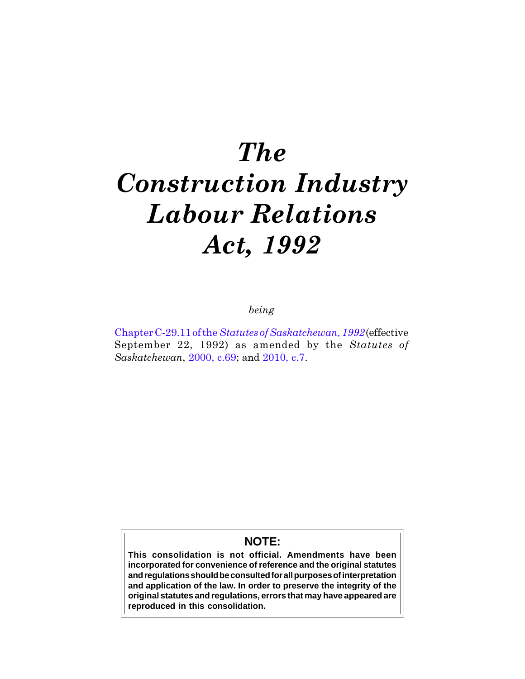# The Construction Industry Labour Relations Act, 1992

being

Chapter C-29.11 of the [Statutes of Saskatchewan, 1992](http://www.qp.gov.sk.ca/documents/english/Chapters/1992/c29_11.pdf)(effective September 22, 1992) as amended by the Statutes of Saskatchewan, [2000, c.69](http://www.qp.gov.sk.ca/documents/english/chapters/2000/chap-69.pdf); and [2010, c.7](http://www.qp.gov.sk.ca/documents/english/Chapters/2010/Chap-7.pdf).

# **NOTE:**

**This consolidation is not official. Amendments have been incorporated for convenience of reference and the original statutes and regulations should be consulted for all purposes of interpretation and application of the law. In order to preserve the integrity of the original statutes and regulations, errors that may have appeared are reproduced in this consolidation.**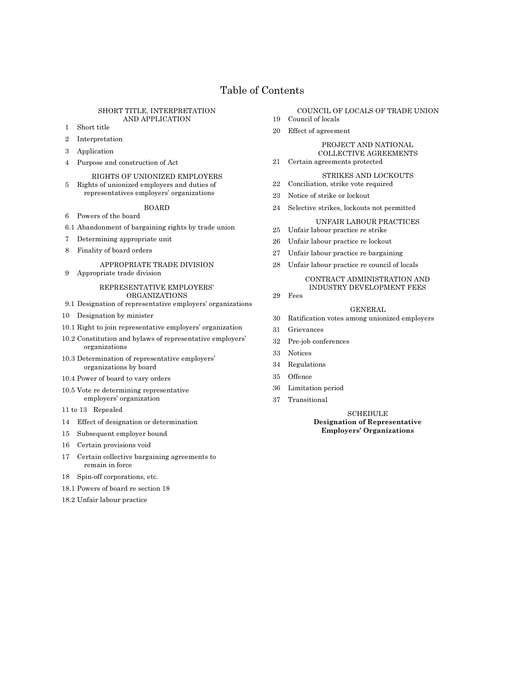# Table of Contents

#### SHORT TITLE, INTERPRETATION AND APPLICATION

- 1 Short title
- 2 Interpretation
- 3 Application
- 4 Purpose and construction of Act
- RIGHTS OF UNIONIZED EMPLOYERS 5 Rights of unionized employers and duties of representatives employers' organizations

#### BOARD

- 6 Powers of the board
- 6.1 Abandonment of bargaining rights by trade union
- 7 Determining appropriate unit
- 8 Finality of board orders

# APPROPRIATE TRADE DIVISION

9 Appropriate trade division

#### REPRESENTATIVE EMPLOYERS' ORGANIZATIONS

- 9.1 Designation of representative employers' organizations
- 10 Designation by minister
- 10.1 Right to join representative employers' organization
- 10.2 Constitution and bylaws of representative employers' organizations
- 10.3 Determination of representative employers' organizations by board
- 10.4 Power of board to vary orders
- 10.5 Vote re determining representative employers' organization
- 11 to 13 Repealed
- 14 Effect of designation or determination
- 15 Subsequent employer bound
- 16 Certain provisions void
- 17 Certain collective bargaining agreements to remain in force
- 18 Spin-off corporations, etc.
- 18.1 Powers of board re section 18
- 18.2 Unfair labour practice

#### COUNCIL OF LOCALS OF TRADE UNION

- 19 Council of locals
- 20 Effect of agreement

PROJECT AND NATIONAL COLLECTIVE AGREEMENTS

21 Certain agreements protected

# STRIKES AND LOCKOUTS

- 22 Conciliation, strike vote required
- 23 Notice of strike or lockout
- 24 Selective strikes, lockouts not permitted

## UNFAIR LABOUR PRACTICES

- 25 Unfair labour practice re strike
- 26 Unfair labour practice re lockout
- 27 Unfair labour practice re bargaining
- 28 Unfair labour practice re council of locals

# CONTRACT ADMINISTRATION AND

# INDUSTRY DEVELOPMENT FEES

# GENERAL

- 30 Ratification votes among unionized employers
- 31 Grievances
- 32 Pre-job conferences
- 33 Notices

29 Fees

- 34 Regulations
- 35 Offence
- 36 Limitation period
- 37 Transitional

**SCHEDULE** Designation of Representative Employers' Organizations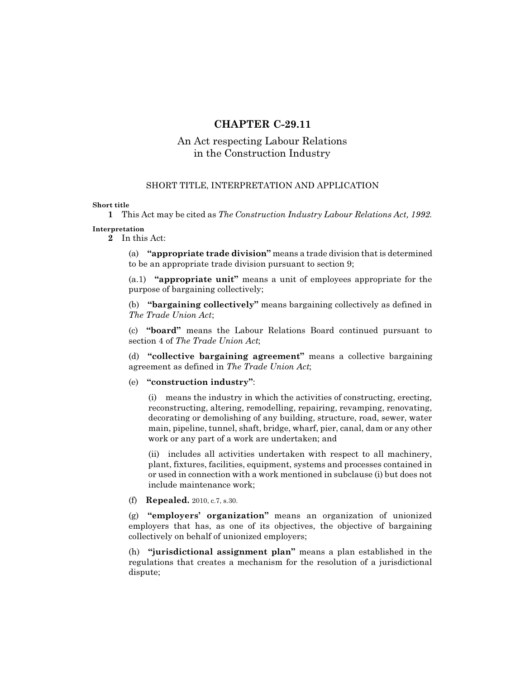# CHAPTER C-29.11

# An Act respecting Labour Relations in the Construction Industry

# SHORT TITLE, INTERPRETATION AND APPLICATION

## Short title

1 This Act may be cited as The Construction Industry Labour Relations Act, 1992. Interpretation

# 2 In this Act:

(a) "appropriate trade division" means a trade division that is determined to be an appropriate trade division pursuant to section 9;

(a.1) "appropriate unit" means a unit of employees appropriate for the purpose of bargaining collectively;

(b) "bargaining collectively" means bargaining collectively as defined in The Trade Union Act;

(c) "board" means the Labour Relations Board continued pursuant to section 4 of The Trade Union Act;

(d) "collective bargaining agreement" means a collective bargaining agreement as defined in The Trade Union Act;

# (e) "construction industry":

(i) means the industry in which the activities of constructing, erecting, reconstructing, altering, remodelling, repairing, revamping, renovating, decorating or demolishing of any building, structure, road, sewer, water main, pipeline, tunnel, shaft, bridge, wharf, pier, canal, dam or any other work or any part of a work are undertaken; and

(ii) includes all activities undertaken with respect to all machinery, plant, fixtures, facilities, equipment, systems and processes contained in or used in connection with a work mentioned in subclause (i) but does not include maintenance work;

(f) Repealed. 2010, c.7, s.30.

(g) "employers' organization" means an organization of unionized employers that has, as one of its objectives, the objective of bargaining collectively on behalf of unionized employers;

(h) "jurisdictional assignment plan" means a plan established in the regulations that creates a mechanism for the resolution of a jurisdictional dispute;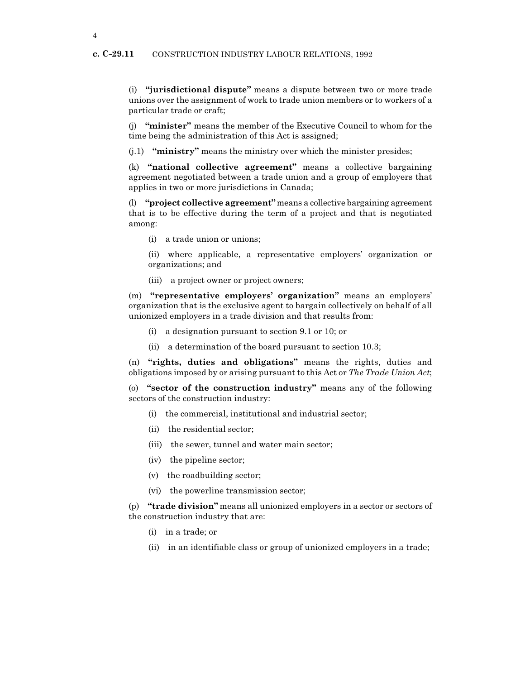(i) "jurisdictional dispute" means a dispute between two or more trade unions over the assignment of work to trade union members or to workers of a particular trade or craft;

(j) "minister" means the member of the Executive Council to whom for the time being the administration of this Act is assigned;

 $(i,1)$  "ministry" means the ministry over which the minister presides;

(k) "national collective agreement" means a collective bargaining agreement negotiated between a trade union and a group of employers that applies in two or more jurisdictions in Canada;

(l) "project collective agreement" means a collective bargaining agreement that is to be effective during the term of a project and that is negotiated among:

(i) a trade union or unions;

(ii) where applicable, a representative employers' organization or organizations; and

(iii) a project owner or project owners;

(m) "representative employers' organization" means an employers' organization that is the exclusive agent to bargain collectively on behalf of all unionized employers in a trade division and that results from:

- (i) a designation pursuant to section 9.1 or 10; or
- (ii) a determination of the board pursuant to section 10.3;

(n) "rights, duties and obligations" means the rights, duties and obligations imposed by or arising pursuant to this Act or The Trade Union Act;

(o) "sector of the construction industry" means any of the following sectors of the construction industry:

- (i) the commercial, institutional and industrial sector;
- (ii) the residential sector;
- (iii) the sewer, tunnel and water main sector;
- (iv) the pipeline sector;
- (v) the roadbuilding sector;
- (vi) the powerline transmission sector;

(p) "trade division" means all unionized employers in a sector or sectors of the construction industry that are:

- (i) in a trade; or
- (ii) in an identifiable class or group of unionized employers in a trade;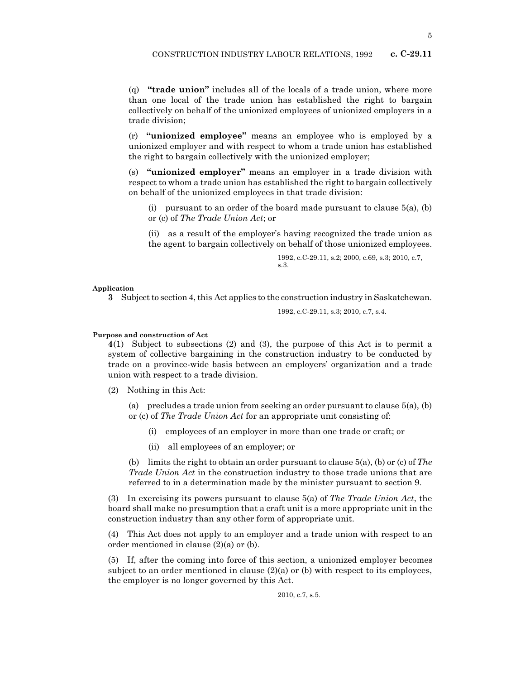(q) "trade union" includes all of the locals of a trade union, where more than one local of the trade union has established the right to bargain collectively on behalf of the unionized employees of unionized employers in a trade division;

(r) "unionized employee" means an employee who is employed by a unionized employer and with respect to whom a trade union has established the right to bargain collectively with the unionized employer;

(s) "unionized employer" means an employer in a trade division with respect to whom a trade union has established the right to bargain collectively on behalf of the unionized employees in that trade division:

(i) pursuant to an order of the board made pursuant to clause  $5(a)$ , (b) or (c) of The Trade Union Act; or

(ii) as a result of the employer's having recognized the trade union as the agent to bargain collectively on behalf of those unionized employees.

> 1992, c.C-29.11, s.2; 2000, c.69, s.3; 2010, c.7, s.3.

Application

3 Subject to section 4, this Act applies to the construction industry in Saskatchewan.

1992, c.C-29.11, s.3; 2010, c.7, s.4.

## Purpose and construction of Act

4(1) Subject to subsections (2) and (3), the purpose of this Act is to permit a system of collective bargaining in the construction industry to be conducted by trade on a province-wide basis between an employers' organization and a trade union with respect to a trade division.

(2) Nothing in this Act:

(a) precludes a trade union from seeking an order pursuant to clause  $5(a)$ , (b) or (c) of The Trade Union Act for an appropriate unit consisting of:

- (i) employees of an employer in more than one trade or craft; or
- (ii) all employees of an employer; or

(b) limits the right to obtain an order pursuant to clause  $5(a)$ , (b) or (c) of The Trade Union Act in the construction industry to those trade unions that are referred to in a determination made by the minister pursuant to section 9.

(3) In exercising its powers pursuant to clause  $5(a)$  of The Trade Union Act, the board shall make no presumption that a craft unit is a more appropriate unit in the construction industry than any other form of appropriate unit.

(4) This Act does not apply to an employer and a trade union with respect to an order mentioned in clause (2)(a) or (b).

(5) If, after the coming into force of this section, a unionized employer becomes subject to an order mentioned in clause  $(2)(a)$  or (b) with respect to its employees, the employer is no longer governed by this Act.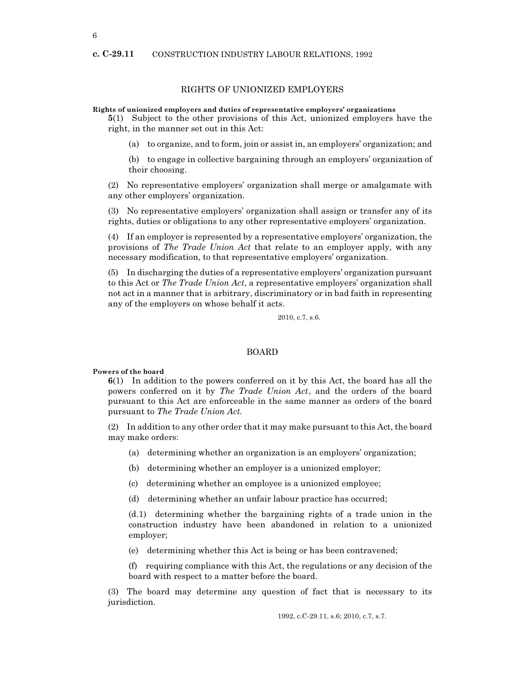## c. C-29.11 CONSTRUCTION INDUSTRY LABOUR RELATIONS, 1992

# RIGHTS OF UNIONIZED EMPLOYERS

#### Rights of unionized employers and duties of representative employers' organizations

5(1) Subject to the other provisions of this Act, unionized employers have the right, in the manner set out in this Act:

(a) to organize, and to form, join or assist in, an employers' organization; and

(b) to engage in collective bargaining through an employers' organization of their choosing.

(2) No representative employers' organization shall merge or amalgamate with any other employers' organization.

(3) No representative employers' organization shall assign or transfer any of its rights, duties or obligations to any other representative employers' organization.

(4) If an employer is represented by a representative employers' organization, the provisions of The Trade Union Act that relate to an employer apply, with any necessary modification, to that representative employers' organization.

(5) In discharging the duties of a representative employers' organization pursuant to this Act or The Trade Union Act, a representative employers' organization shall not act in a manner that is arbitrary, discriminatory or in bad faith in representing any of the employers on whose behalf it acts.

2010, c.7, s.6.

#### BOARD

# Powers of the board

6(1) In addition to the powers conferred on it by this Act, the board has all the powers conferred on it by The Trade Union Act, and the orders of the board pursuant to this Act are enforceable in the same manner as orders of the board pursuant to The Trade Union Act.

(2) In addition to any other order that it may make pursuant to this Act, the board may make orders:

- (a) determining whether an organization is an employers' organization;
- (b) determining whether an employer is a unionized employer;
- (c) determining whether an employee is a unionized employee;
- (d) determining whether an unfair labour practice has occurred;

(d.1) determining whether the bargaining rights of a trade union in the construction industry have been abandoned in relation to a unionized employer;

(e) determining whether this Act is being or has been contravened;

(f) requiring compliance with this Act, the regulations or any decision of the board with respect to a matter before the board.

(3) The board may determine any question of fact that is necessary to its jurisdiction.

1992, c.C-29.11, s.6; 2010, c.7, s.7.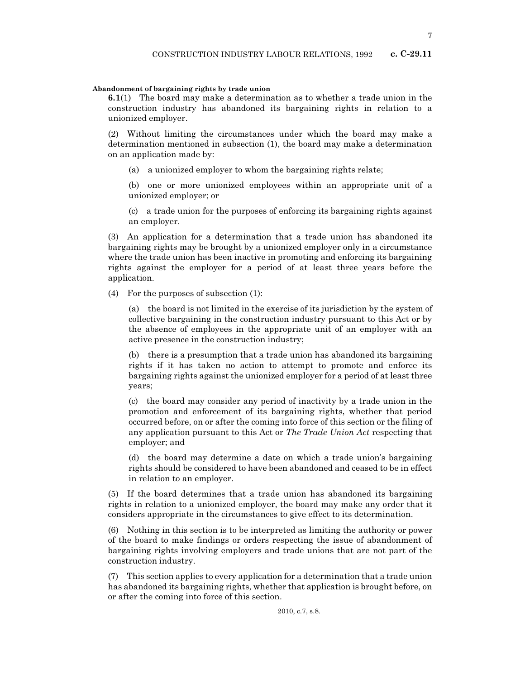# Abandonment of bargaining rights by trade union

6.1(1) The board may make a determination as to whether a trade union in the construction industry has abandoned its bargaining rights in relation to a unionized employer.

(2) Without limiting the circumstances under which the board may make a determination mentioned in subsection (1), the board may make a determination on an application made by:

(a) a unionized employer to whom the bargaining rights relate;

(b) one or more unionized employees within an appropriate unit of a unionized employer; or

(c) a trade union for the purposes of enforcing its bargaining rights against an employer.

(3) An application for a determination that a trade union has abandoned its bargaining rights may be brought by a unionized employer only in a circumstance where the trade union has been inactive in promoting and enforcing its bargaining rights against the employer for a period of at least three years before the application.

(4) For the purposes of subsection (1):

(a) the board is not limited in the exercise of its jurisdiction by the system of collective bargaining in the construction industry pursuant to this Act or by the absence of employees in the appropriate unit of an employer with an active presence in the construction industry;

(b) there is a presumption that a trade union has abandoned its bargaining rights if it has taken no action to attempt to promote and enforce its bargaining rights against the unionized employer for a period of at least three years;

(c) the board may consider any period of inactivity by a trade union in the promotion and enforcement of its bargaining rights, whether that period occurred before, on or after the coming into force of this section or the filing of any application pursuant to this Act or The Trade Union Act respecting that employer; and

(d) the board may determine a date on which a trade union's bargaining rights should be considered to have been abandoned and ceased to be in effect in relation to an employer.

(5) If the board determines that a trade union has abandoned its bargaining rights in relation to a unionized employer, the board may make any order that it considers appropriate in the circumstances to give effect to its determination.

(6) Nothing in this section is to be interpreted as limiting the authority or power of the board to make findings or orders respecting the issue of abandonment of bargaining rights involving employers and trade unions that are not part of the construction industry.

(7) This section applies to every application for a determination that a trade union has abandoned its bargaining rights, whether that application is brought before, on or after the coming into force of this section.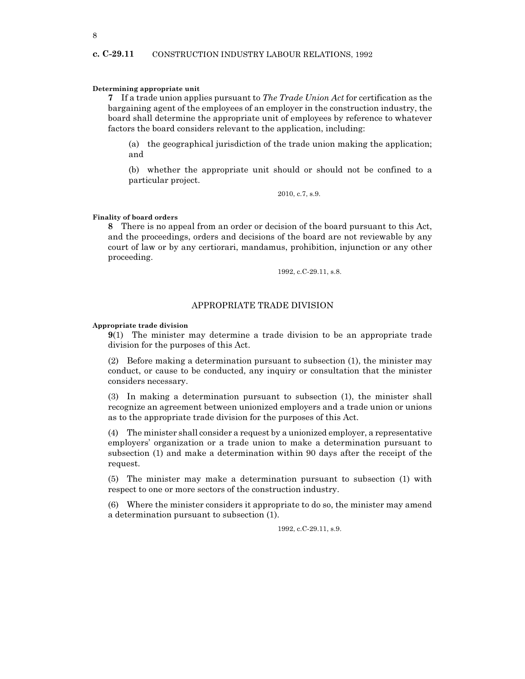# Determining appropriate unit

7 If a trade union applies pursuant to The Trade Union Act for certification as the bargaining agent of the employees of an employer in the construction industry, the board shall determine the appropriate unit of employees by reference to whatever factors the board considers relevant to the application, including:

(a) the geographical jurisdiction of the trade union making the application; and

(b) whether the appropriate unit should or should not be confined to a particular project.

2010, c.7, s.9.

# Finality of board orders

8 There is no appeal from an order or decision of the board pursuant to this Act, and the proceedings, orders and decisions of the board are not reviewable by any court of law or by any certiorari, mandamus, prohibition, injunction or any other proceeding.

1992, c.C-29.11, s.8.

# APPROPRIATE TRADE DIVISION

Appropriate trade division

9(1) The minister may determine a trade division to be an appropriate trade division for the purposes of this Act.

(2) Before making a determination pursuant to subsection (1), the minister may conduct, or cause to be conducted, any inquiry or consultation that the minister considers necessary.

(3) In making a determination pursuant to subsection (1), the minister shall recognize an agreement between unionized employers and a trade union or unions as to the appropriate trade division for the purposes of this Act.

(4) The minister shall consider a request by a unionized employer, a representative employers' organization or a trade union to make a determination pursuant to subsection (1) and make a determination within 90 days after the receipt of the request.

(5) The minister may make a determination pursuant to subsection (1) with respect to one or more sectors of the construction industry.

(6) Where the minister considers it appropriate to do so, the minister may amend a determination pursuant to subsection (1).

1992, c.C-29.11, s.9.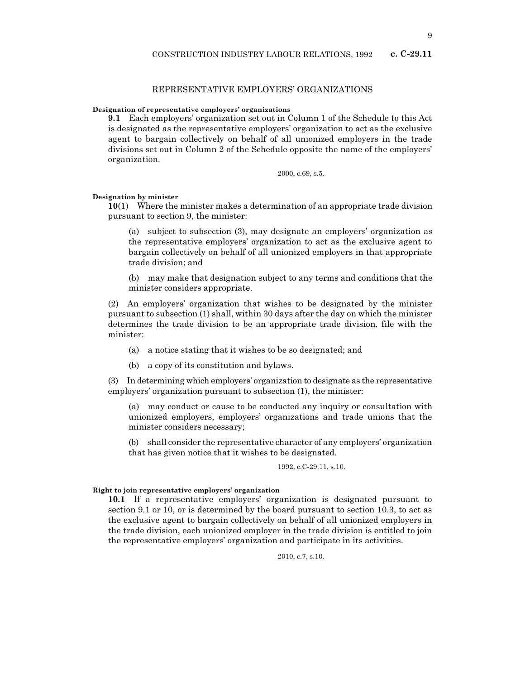# REPRESENTATIVE EMPLOYERS' ORGANIZATIONS

# Designation of representative employers' organizations

9.1 Each employers' organization set out in Column 1 of the Schedule to this Act is designated as the representative employers' organization to act as the exclusive agent to bargain collectively on behalf of all unionized employers in the trade divisions set out in Column 2 of the Schedule opposite the name of the employers' organization.

2000, c.69, s.5.

# Designation by minister

10(1) Where the minister makes a determination of an appropriate trade division pursuant to section 9, the minister:

(a) subject to subsection (3), may designate an employers' organization as the representative employers' organization to act as the exclusive agent to bargain collectively on behalf of all unionized employers in that appropriate trade division; and

(b) may make that designation subject to any terms and conditions that the minister considers appropriate.

(2) An employers' organization that wishes to be designated by the minister pursuant to subsection (1) shall, within 30 days after the day on which the minister determines the trade division to be an appropriate trade division, file with the minister:

- (a) a notice stating that it wishes to be so designated; and
- (b) a copy of its constitution and bylaws.

(3) In determining which employers' organization to designate as the representative employers' organization pursuant to subsection (1), the minister:

(a) may conduct or cause to be conducted any inquiry or consultation with unionized employers, employers' organizations and trade unions that the minister considers necessary;

(b) shall consider the representative character of any employers' organization that has given notice that it wishes to be designated.

# 1992, c.C-29.11, s.10.

#### Right to join representative employers' organization

10.1 If a representative employers' organization is designated pursuant to section 9.1 or 10, or is determined by the board pursuant to section 10.3, to act as the exclusive agent to bargain collectively on behalf of all unionized employers in the trade division, each unionized employer in the trade division is entitled to join the representative employers' organization and participate in its activities.

2010, c.7, s.10.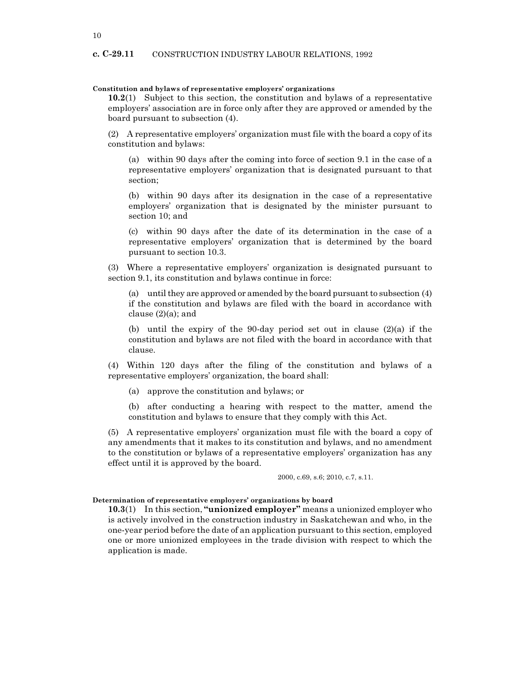# Constitution and bylaws of representative employers' organizations

10.2(1) Subject to this section, the constitution and bylaws of a representative employers' association are in force only after they are approved or amended by the board pursuant to subsection (4).

(2) A representative employers' organization must file with the board a copy of its constitution and bylaws:

(a) within 90 days after the coming into force of section 9.1 in the case of a representative employers' organization that is designated pursuant to that section;

(b) within 90 days after its designation in the case of a representative employers' organization that is designated by the minister pursuant to section 10; and

(c) within 90 days after the date of its determination in the case of a representative employers' organization that is determined by the board pursuant to section 10.3.

(3) Where a representative employers' organization is designated pursuant to section 9.1, its constitution and bylaws continue in force:

(a) until they are approved or amended by the board pursuant to subsection (4) if the constitution and bylaws are filed with the board in accordance with clause  $(2)(a)$ ; and

(b) until the expiry of the 90-day period set out in clause  $(2)(a)$  if the constitution and bylaws are not filed with the board in accordance with that clause.

(4) Within 120 days after the filing of the constitution and bylaws of a representative employers' organization, the board shall:

(a) approve the constitution and bylaws; or

(b) after conducting a hearing with respect to the matter, amend the constitution and bylaws to ensure that they comply with this Act.

(5) A representative employers' organization must file with the board a copy of any amendments that it makes to its constitution and bylaws, and no amendment to the constitution or bylaws of a representative employers' organization has any effect until it is approved by the board.

2000, c.69, s.6; 2010, c.7, s.11.

# Determination of representative employers' organizations by board

10.3(1) In this section, "unionized employer" means a unionized employer who is actively involved in the construction industry in Saskatchewan and who, in the one-year period before the date of an application pursuant to this section, employed one or more unionized employees in the trade division with respect to which the application is made.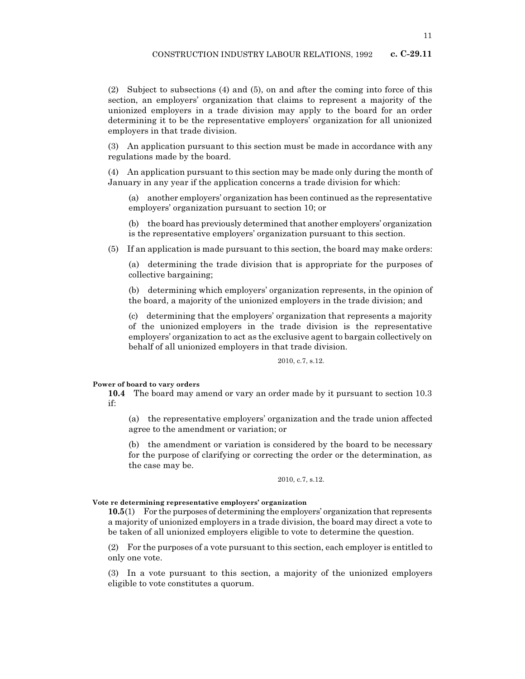(2) Subject to subsections (4) and (5), on and after the coming into force of this section, an employers' organization that claims to represent a majority of the unionized employers in a trade division may apply to the board for an order determining it to be the representative employers' organization for all unionized employers in that trade division.

(3) An application pursuant to this section must be made in accordance with any regulations made by the board.

(4) An application pursuant to this section may be made only during the month of January in any year if the application concerns a trade division for which:

(a) another employers' organization has been continued as the representative employers' organization pursuant to section 10; or

(b) the board has previously determined that another employers' organization is the representative employers' organization pursuant to this section.

(5) If an application is made pursuant to this section, the board may make orders:

(a) determining the trade division that is appropriate for the purposes of collective bargaining;

(b) determining which employers' organization represents, in the opinion of the board, a majority of the unionized employers in the trade division; and

(c) determining that the employers' organization that represents a majority of the unionized employers in the trade division is the representative employers' organization to act as the exclusive agent to bargain collectively on behalf of all unionized employers in that trade division.

2010, c.7, s.12.

#### Power of board to vary orders

10.4 The board may amend or vary an order made by it pursuant to section 10.3 if:

(a) the representative employers' organization and the trade union affected agree to the amendment or variation; or

(b) the amendment or variation is considered by the board to be necessary for the purpose of clarifying or correcting the order or the determination, as the case may be.

#### 2010, c.7, s.12.

#### Vote re determining representative employers' organization

10.5(1) For the purposes of determining the employers' organization that represents a majority of unionized employers in a trade division, the board may direct a vote to be taken of all unionized employers eligible to vote to determine the question.

(2) For the purposes of a vote pursuant to this section, each employer is entitled to only one vote.

(3) In a vote pursuant to this section, a majority of the unionized employers eligible to vote constitutes a quorum.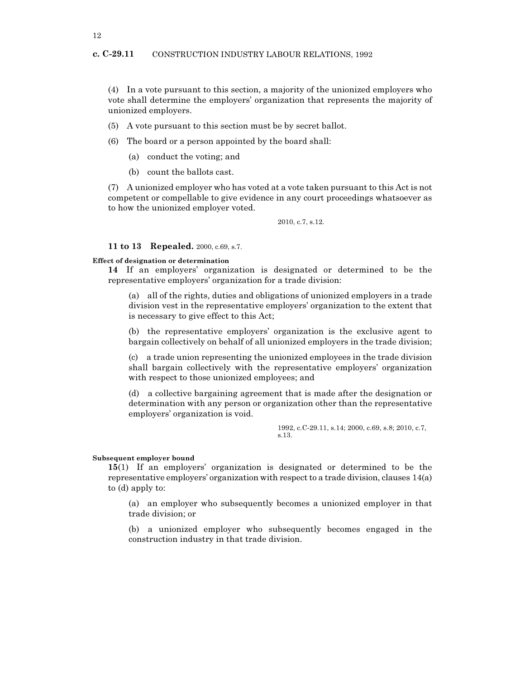(4) In a vote pursuant to this section, a majority of the unionized employers who vote shall determine the employers' organization that represents the majority of unionized employers.

- (5) A vote pursuant to this section must be by secret ballot.
- (6) The board or a person appointed by the board shall:
	- (a) conduct the voting; and
	- (b) count the ballots cast.

(7) A unionized employer who has voted at a vote taken pursuant to this Act is not competent or compellable to give evidence in any court proceedings whatsoever as to how the unionized employer voted.

2010, c.7, s.12.

# 11 to 13 Repealed. 2000, c.69, s.7.

# Effect of designation or determination

14 If an employers' organization is designated or determined to be the representative employers' organization for a trade division:

(a) all of the rights, duties and obligations of unionized employers in a trade division vest in the representative employers' organization to the extent that is necessary to give effect to this Act;

(b) the representative employers' organization is the exclusive agent to bargain collectively on behalf of all unionized employers in the trade division;

(c) a trade union representing the unionized employees in the trade division shall bargain collectively with the representative employers' organization with respect to those unionized employees; and

(d) a collective bargaining agreement that is made after the designation or determination with any person or organization other than the representative employers' organization is void.

> 1992, c.C-29.11, s.14; 2000, c.69, s.8; 2010, c.7, s.13.

# Subsequent employer bound

15(1) If an employers' organization is designated or determined to be the representative employers' organization with respect to a trade division, clauses 14(a) to (d) apply to:

(a) an employer who subsequently becomes a unionized employer in that trade division; or

(b) a unionized employer who subsequently becomes engaged in the construction industry in that trade division.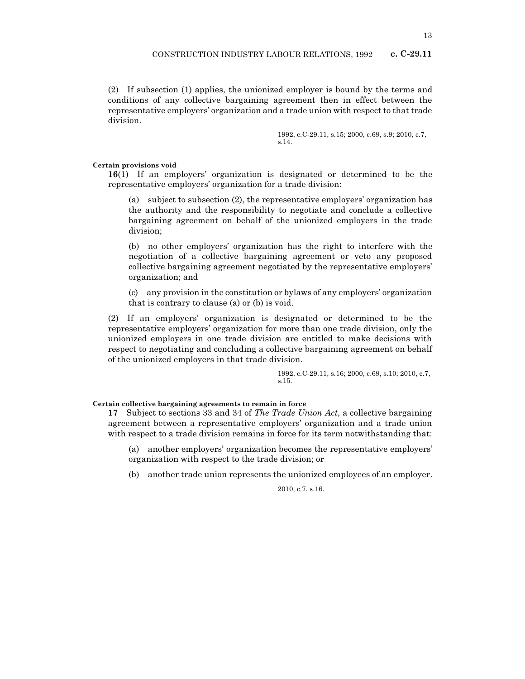(2) If subsection (1) applies, the unionized employer is bound by the terms and conditions of any collective bargaining agreement then in effect between the representative employers' organization and a trade union with respect to that trade division.

> 1992, c.C-29.11, s.15; 2000, c.69, s.9; 2010, c.7, s.14.

## Certain provisions void

16(1) If an employers' organization is designated or determined to be the representative employers' organization for a trade division:

(a) subject to subsection (2), the representative employers' organization has the authority and the responsibility to negotiate and conclude a collective bargaining agreement on behalf of the unionized employers in the trade division;

(b) no other employers' organization has the right to interfere with the negotiation of a collective bargaining agreement or veto any proposed collective bargaining agreement negotiated by the representative employers' organization; and

(c) any provision in the constitution or bylaws of any employers' organization that is contrary to clause (a) or (b) is void.

(2) If an employers' organization is designated or determined to be the representative employers' organization for more than one trade division, only the unionized employers in one trade division are entitled to make decisions with respect to negotiating and concluding a collective bargaining agreement on behalf of the unionized employers in that trade division.

> 1992, c.C-29.11, s.16; 2000, c.69, s.10; 2010, c.7, s.15.

# Certain collective bargaining agreements to remain in force

17 Subject to sections 33 and 34 of *The Trade Union Act*, a collective bargaining agreement between a representative employers' organization and a trade union with respect to a trade division remains in force for its term notwithstanding that:

(a) another employers' organization becomes the representative employers' organization with respect to the trade division; or

(b) another trade union represents the unionized employees of an employer.

2010, c.7, s.16.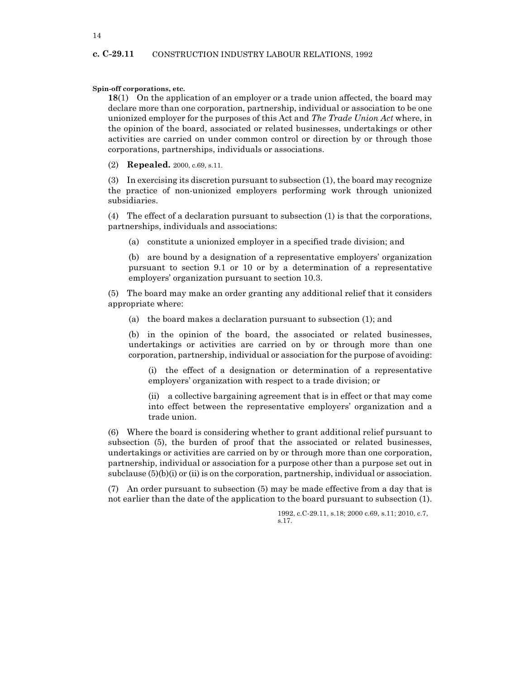Spin-off corporations, etc.

18(1) On the application of an employer or a trade union affected, the board may declare more than one corporation, partnership, individual or association to be one unionized employer for the purposes of this Act and The Trade Union Act where, in the opinion of the board, associated or related businesses, undertakings or other activities are carried on under common control or direction by or through those corporations, partnerships, individuals or associations.

(2) Repealed. 2000, c.69, s.11.

(3) In exercising its discretion pursuant to subsection (1), the board may recognize the practice of non-unionized employers performing work through unionized subsidiaries.

(4) The effect of a declaration pursuant to subsection (1) is that the corporations, partnerships, individuals and associations:

(a) constitute a unionized employer in a specified trade division; and

(b) are bound by a designation of a representative employers' organization pursuant to section 9.1 or 10 or by a determination of a representative employers' organization pursuant to section 10.3.

(5) The board may make an order granting any additional relief that it considers appropriate where:

(a) the board makes a declaration pursuant to subsection (1); and

(b) in the opinion of the board, the associated or related businesses, undertakings or activities are carried on by or through more than one corporation, partnership, individual or association for the purpose of avoiding:

(i) the effect of a designation or determination of a representative employers' organization with respect to a trade division; or

(ii) a collective bargaining agreement that is in effect or that may come into effect between the representative employers' organization and a trade union.

(6) Where the board is considering whether to grant additional relief pursuant to subsection (5), the burden of proof that the associated or related businesses, undertakings or activities are carried on by or through more than one corporation, partnership, individual or association for a purpose other than a purpose set out in subclause  $(5)(b)(i)$  or  $(ii)$  is on the corporation, partnership, individual or association.

(7) An order pursuant to subsection (5) may be made effective from a day that is not earlier than the date of the application to the board pursuant to subsection (1).

> 1992, c.C-29.11, s.18; 2000 c.69, s.11; 2010, c.7, s.17.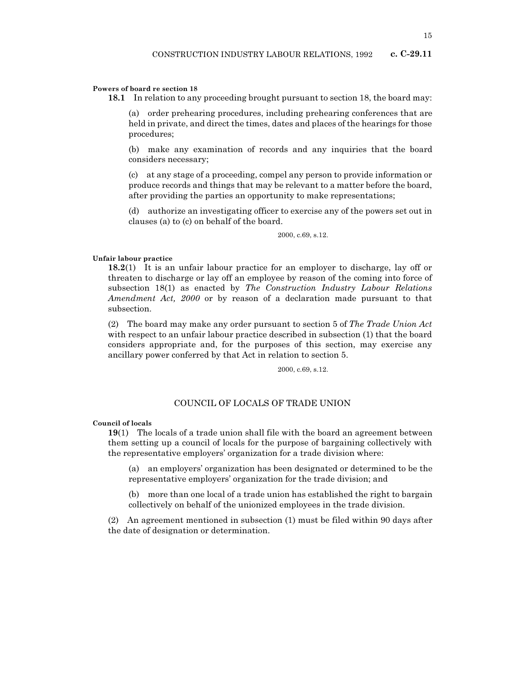## Powers of board re section 18

18.1 In relation to any proceeding brought pursuant to section 18, the board may:

(a) order prehearing procedures, including prehearing conferences that are held in private, and direct the times, dates and places of the hearings for those procedures;

(b) make any examination of records and any inquiries that the board considers necessary;

(c) at any stage of a proceeding, compel any person to provide information or produce records and things that may be relevant to a matter before the board, after providing the parties an opportunity to make representations;

(d) authorize an investigating officer to exercise any of the powers set out in clauses (a) to (c) on behalf of the board.

2000, c.69, s.12.

# Unfair labour practice

18.2(1) It is an unfair labour practice for an employer to discharge, lay off or threaten to discharge or lay off an employee by reason of the coming into force of subsection 18(1) as enacted by The Construction Industry Labour Relations Amendment Act, 2000 or by reason of a declaration made pursuant to that subsection.

(2) The board may make any order pursuant to section 5 of The Trade Union Act with respect to an unfair labour practice described in subsection (1) that the board considers appropriate and, for the purposes of this section, may exercise any ancillary power conferred by that Act in relation to section 5.

2000, c.69, s.12.

# COUNCIL OF LOCALS OF TRADE UNION

Council of locals

19(1) The locals of a trade union shall file with the board an agreement between them setting up a council of locals for the purpose of bargaining collectively with the representative employers' organization for a trade division where:

(a) an employers' organization has been designated or determined to be the representative employers' organization for the trade division; and

(b) more than one local of a trade union has established the right to bargain collectively on behalf of the unionized employees in the trade division.

(2) An agreement mentioned in subsection (1) must be filed within 90 days after the date of designation or determination.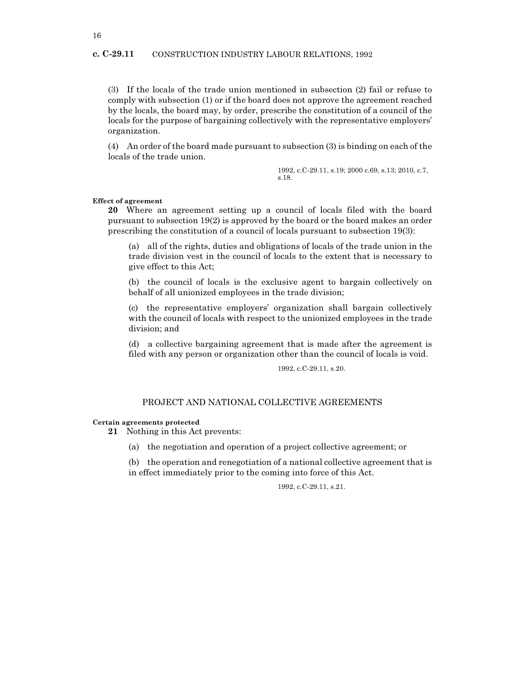# c. C-29.11 CONSTRUCTION INDUSTRY LABOUR RELATIONS, 1992

(3) If the locals of the trade union mentioned in subsection (2) fail or refuse to comply with subsection (1) or if the board does not approve the agreement reached by the locals, the board may, by order, prescribe the constitution of a council of the locals for the purpose of bargaining collectively with the representative employers' organization.

(4) An order of the board made pursuant to subsection (3) is binding on each of the locals of the trade union.

> 1992, c.C-29.11, s.19; 2000 c.69, s.13; 2010, c.7, s.18.

#### Effect of agreement

20 Where an agreement setting up a council of locals filed with the board pursuant to subsection 19(2) is approved by the board or the board makes an order prescribing the constitution of a council of locals pursuant to subsection 19(3):

(a) all of the rights, duties and obligations of locals of the trade union in the trade division vest in the council of locals to the extent that is necessary to give effect to this Act;

(b) the council of locals is the exclusive agent to bargain collectively on behalf of all unionized employees in the trade division;

(c) the representative employers' organization shall bargain collectively with the council of locals with respect to the unionized employees in the trade division; and

(d) a collective bargaining agreement that is made after the agreement is filed with any person or organization other than the council of locals is void.

1992, c.C-29.11, s.20.

# PROJECT AND NATIONAL COLLECTIVE AGREEMENTS

#### Certain agreements protected

21 Nothing in this Act prevents:

(a) the negotiation and operation of a project collective agreement; or

(b) the operation and renegotiation of a national collective agreement that is in effect immediately prior to the coming into force of this Act.

1992, c.C-29.11, s.21.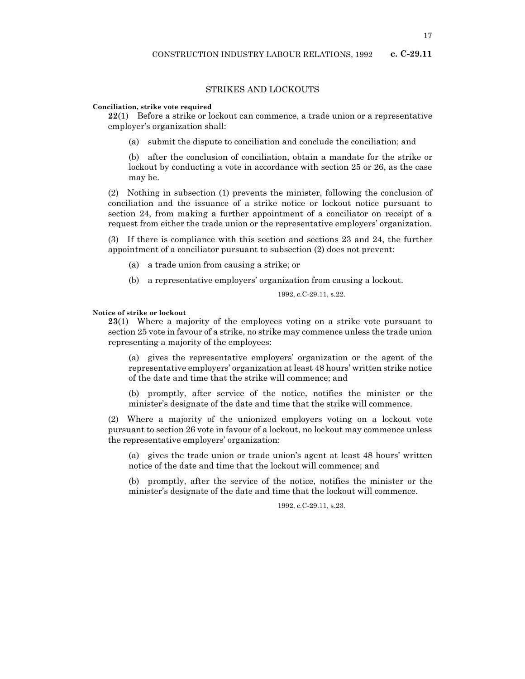# STRIKES AND LOCKOUTS

#### Conciliation, strike vote required

22(1) Before a strike or lockout can commence, a trade union or a representative employer's organization shall:

(a) submit the dispute to conciliation and conclude the conciliation; and

(b) after the conclusion of conciliation, obtain a mandate for the strike or lockout by conducting a vote in accordance with section 25 or 26, as the case may be.

(2) Nothing in subsection (1) prevents the minister, following the conclusion of conciliation and the issuance of a strike notice or lockout notice pursuant to section 24, from making a further appointment of a conciliator on receipt of a request from either the trade union or the representative employers' organization.

(3) If there is compliance with this section and sections 23 and 24, the further appointment of a conciliator pursuant to subsection (2) does not prevent:

- (a) a trade union from causing a strike; or
- (b) a representative employers' organization from causing a lockout.

1992, c.C-29.11, s.22.

# Notice of strike or lockout

23(1) Where a majority of the employees voting on a strike vote pursuant to section 25 vote in favour of a strike, no strike may commence unless the trade union representing a majority of the employees:

(a) gives the representative employers' organization or the agent of the representative employers' organization at least 48 hours' written strike notice of the date and time that the strike will commence; and

(b) promptly, after service of the notice, notifies the minister or the minister's designate of the date and time that the strike will commence.

(2) Where a majority of the unionized employers voting on a lockout vote pursuant to section 26 vote in favour of a lockout, no lockout may commence unless the representative employers' organization:

(a) gives the trade union or trade union's agent at least 48 hours' written notice of the date and time that the lockout will commence; and

(b) promptly, after the service of the notice, notifies the minister or the minister's designate of the date and time that the lockout will commence.

1992, c.C-29.11, s.23.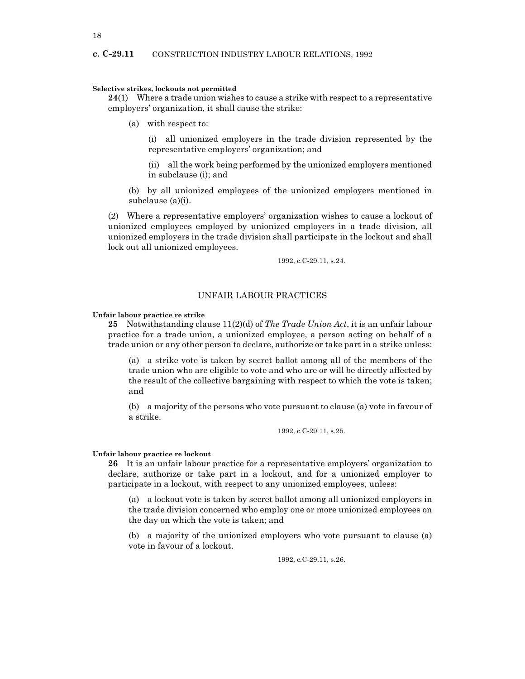# Selective strikes, lockouts not permitted

 $24(1)$  Where a trade union wishes to cause a strike with respect to a representative employers' organization, it shall cause the strike:

(a) with respect to:

(i) all unionized employers in the trade division represented by the representative employers' organization; and

(ii) all the work being performed by the unionized employers mentioned in subclause (i); and

(b) by all unionized employees of the unionized employers mentioned in subclause (a)(i).

(2) Where a representative employers' organization wishes to cause a lockout of unionized employees employed by unionized employers in a trade division, all unionized employers in the trade division shall participate in the lockout and shall lock out all unionized employees.

1992, c.C-29.11, s.24.

# UNFAIR LABOUR PRACTICES

#### Unfair labour practice re strike

25 Notwithstanding clause  $11(2)(d)$  of The Trade Union Act, it is an unfair labour practice for a trade union, a unionized employee, a person acting on behalf of a trade union or any other person to declare, authorize or take part in a strike unless:

(a) a strike vote is taken by secret ballot among all of the members of the trade union who are eligible to vote and who are or will be directly affected by the result of the collective bargaining with respect to which the vote is taken; and

(b) a majority of the persons who vote pursuant to clause (a) vote in favour of a strike.

1992, c.C-29.11, s.25.

#### Unfair labour practice re lockout

26 It is an unfair labour practice for a representative employers' organization to declare, authorize or take part in a lockout, and for a unionized employer to participate in a lockout, with respect to any unionized employees, unless:

(a) a lockout vote is taken by secret ballot among all unionized employers in the trade division concerned who employ one or more unionized employees on the day on which the vote is taken; and

(b) a majority of the unionized employers who vote pursuant to clause (a) vote in favour of a lockout.

1992, c.C-29.11, s.26.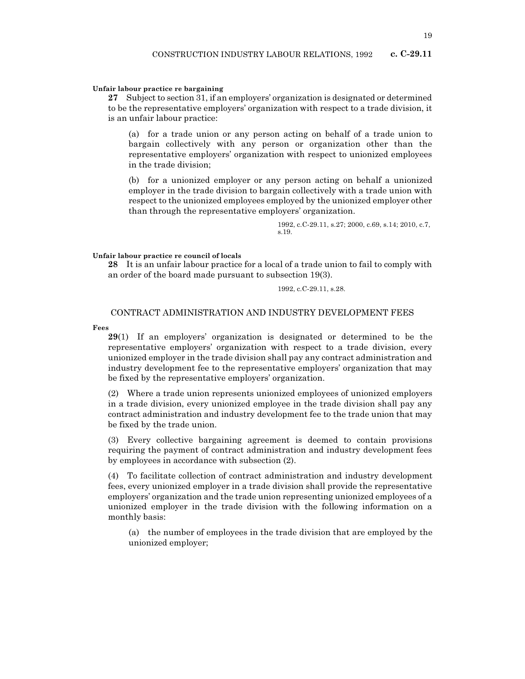# Unfair labour practice re bargaining

27 Subject to section 31, if an employers' organization is designated or determined to be the representative employers' organization with respect to a trade division, it is an unfair labour practice:

(a) for a trade union or any person acting on behalf of a trade union to bargain collectively with any person or organization other than the representative employers' organization with respect to unionized employees in the trade division;

(b) for a unionized employer or any person acting on behalf a unionized employer in the trade division to bargain collectively with a trade union with respect to the unionized employees employed by the unionized employer other than through the representative employers' organization.

> 1992, c.C-29.11, s.27; 2000, c.69, s.14; 2010, c.7, s.19.

Unfair labour practice re council of locals

28 It is an unfair labour practice for a local of a trade union to fail to comply with an order of the board made pursuant to subsection 19(3).

1992, c.C-29.11, s.28.

CONTRACT ADMINISTRATION AND INDUSTRY DEVELOPMENT FEES

Fees

29(1) If an employers' organization is designated or determined to be the representative employers' organization with respect to a trade division, every unionized employer in the trade division shall pay any contract administration and industry development fee to the representative employers' organization that may be fixed by the representative employers' organization.

(2) Where a trade union represents unionized employees of unionized employers in a trade division, every unionized employee in the trade division shall pay any contract administration and industry development fee to the trade union that may be fixed by the trade union.

(3) Every collective bargaining agreement is deemed to contain provisions requiring the payment of contract administration and industry development fees by employees in accordance with subsection (2).

(4) To facilitate collection of contract administration and industry development fees, every unionized employer in a trade division shall provide the representative employers' organization and the trade union representing unionized employees of a unionized employer in the trade division with the following information on a monthly basis:

(a) the number of employees in the trade division that are employed by the unionized employer;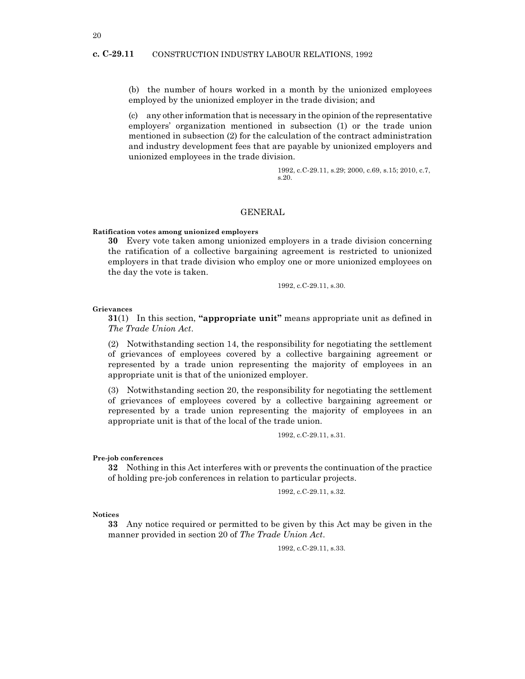# c. C-29.11 CONSTRUCTION INDUSTRY LABOUR RELATIONS, 1992

(b) the number of hours worked in a month by the unionized employees employed by the unionized employer in the trade division; and

(c) any other information that is necessary in the opinion of the representative employers' organization mentioned in subsection (1) or the trade union mentioned in subsection (2) for the calculation of the contract administration and industry development fees that are payable by unionized employers and unionized employees in the trade division.

> 1992, c.C-29.11, s.29; 2000, c.69, s.15; 2010, c.7, s.20.

# GENERAL

#### Ratification votes among unionized employers

30 Every vote taken among unionized employers in a trade division concerning the ratification of a collective bargaining agreement is restricted to unionized employers in that trade division who employ one or more unionized employees on the day the vote is taken.

1992, c.C-29.11, s.30.

Grievances

 $31(1)$  In this section, "appropriate unit" means appropriate unit as defined in The Trade Union Act.

(2) Notwithstanding section 14, the responsibility for negotiating the settlement of grievances of employees covered by a collective bargaining agreement or represented by a trade union representing the majority of employees in an appropriate unit is that of the unionized employer.

(3) Notwithstanding section 20, the responsibility for negotiating the settlement of grievances of employees covered by a collective bargaining agreement or represented by a trade union representing the majority of employees in an appropriate unit is that of the local of the trade union.

1992, c.C-29.11, s.31.

Pre-job conferences

32 Nothing in this Act interferes with or prevents the continuation of the practice of holding pre-job conferences in relation to particular projects.

```
1992, c.C-29.11, s.32.
```
Notices

33 Any notice required or permitted to be given by this Act may be given in the manner provided in section 20 of The Trade Union Act.

1992, c.C-29.11, s.33.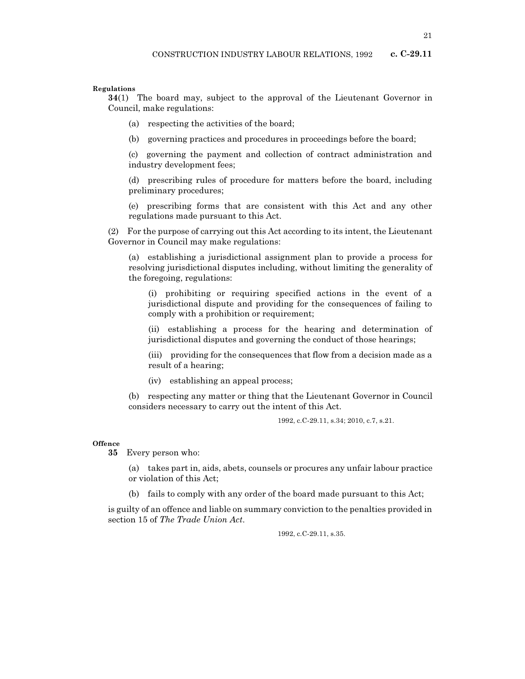# Regulations

34(1) The board may, subject to the approval of the Lieutenant Governor in Council, make regulations:

- (a) respecting the activities of the board;
- (b) governing practices and procedures in proceedings before the board;

(c) governing the payment and collection of contract administration and industry development fees;

(d) prescribing rules of procedure for matters before the board, including preliminary procedures;

(e) prescribing forms that are consistent with this Act and any other regulations made pursuant to this Act.

(2) For the purpose of carrying out this Act according to its intent, the Lieutenant Governor in Council may make regulations:

(a) establishing a jurisdictional assignment plan to provide a process for resolving jurisdictional disputes including, without limiting the generality of the foregoing, regulations:

(i) prohibiting or requiring specified actions in the event of a jurisdictional dispute and providing for the consequences of failing to comply with a prohibition or requirement;

(ii) establishing a process for the hearing and determination of jurisdictional disputes and governing the conduct of those hearings;

(iii) providing for the consequences that flow from a decision made as a result of a hearing;

(iv) establishing an appeal process;

(b) respecting any matter or thing that the Lieutenant Governor in Council considers necessary to carry out the intent of this Act.

1992, c.C-29.11, s.34; 2010, c.7, s.21.

## **Offence**

35 Every person who:

(a) takes part in, aids, abets, counsels or procures any unfair labour practice or violation of this Act;

(b) fails to comply with any order of the board made pursuant to this Act;

is guilty of an offence and liable on summary conviction to the penalties provided in section 15 of The Trade Union Act.

1992, c.C-29.11, s.35.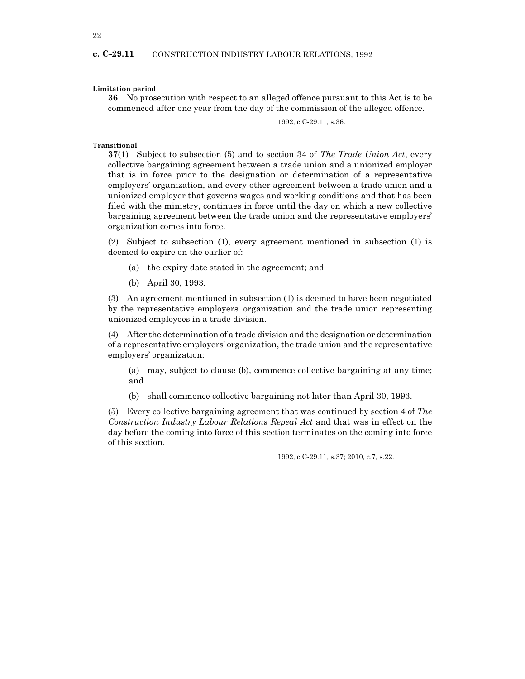# Limitation period

36 No prosecution with respect to an alleged offence pursuant to this Act is to be commenced after one year from the day of the commission of the alleged offence.

1992, c.C-29.11, s.36.

# Transitional

 $37(1)$  Subject to subsection (5) and to section 34 of The Trade Union Act, every collective bargaining agreement between a trade union and a unionized employer that is in force prior to the designation or determination of a representative employers' organization, and every other agreement between a trade union and a unionized employer that governs wages and working conditions and that has been filed with the ministry, continues in force until the day on which a new collective bargaining agreement between the trade union and the representative employers' organization comes into force.

(2) Subject to subsection (1), every agreement mentioned in subsection (1) is deemed to expire on the earlier of:

- (a) the expiry date stated in the agreement; and
- (b) April 30, 1993.

(3) An agreement mentioned in subsection (1) is deemed to have been negotiated by the representative employers' organization and the trade union representing unionized employees in a trade division.

(4) After the determination of a trade division and the designation or determination of a representative employers' organization, the trade union and the representative employers' organization:

(a) may, subject to clause (b), commence collective bargaining at any time; and

(b) shall commence collective bargaining not later than April 30, 1993.

(5) Every collective bargaining agreement that was continued by section 4 of The Construction Industry Labour Relations Repeal Act and that was in effect on the day before the coming into force of this section terminates on the coming into force of this section.

1992, c.C-29.11, s.37; 2010, c.7, s.22.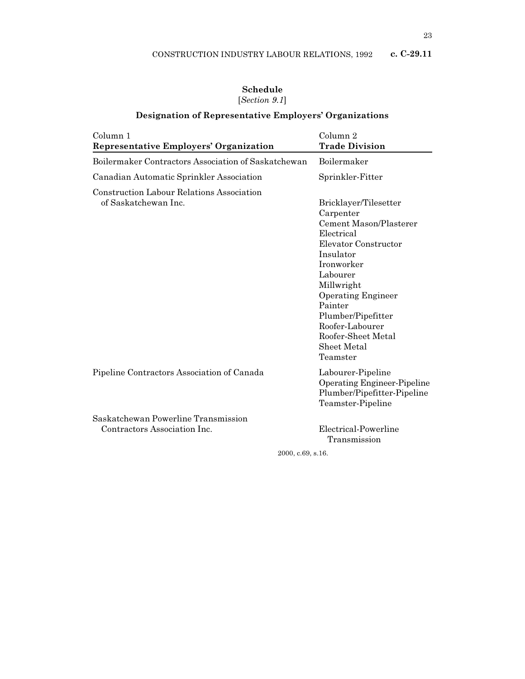# Schedule [Section 9.1]

# Designation of Representative Employers' Organizations

| Column 1<br><b>Representative Employers' Organization</b>                | Column 2<br><b>Trade Division</b>                                                                                                                                                                                                                                                                              |
|--------------------------------------------------------------------------|----------------------------------------------------------------------------------------------------------------------------------------------------------------------------------------------------------------------------------------------------------------------------------------------------------------|
| Boilermaker Contractors Association of Saskatchewan                      | Boilermaker                                                                                                                                                                                                                                                                                                    |
| Canadian Automatic Sprinkler Association                                 | Sprinkler-Fitter                                                                                                                                                                                                                                                                                               |
| <b>Construction Labour Relations Association</b><br>of Saskatchewan Inc. | Bricklayer/Tilesetter<br>Carpenter<br><b>Cement Mason/Plasterer</b><br>Electrical<br>Elevator Constructor<br>Insulator<br><b>Ironworker</b><br>Labourer<br>Millwright<br><b>Operating Engineer</b><br>Painter<br>Plumber/Pipefitter<br>Roofer-Labourer<br>Roofer-Sheet Metal<br><b>Sheet Metal</b><br>Teamster |
| Pipeline Contractors Association of Canada                               | Labourer-Pipeline<br><b>Operating Engineer-Pipeline</b><br>Plumber/Pipefitter-Pipeline<br>Teamster-Pipeline                                                                                                                                                                                                    |
| Saskatchewan Powerline Transmission<br>Contractors Association Inc.      | Electrical-Powerline<br>Transmission<br>2000, c.69, s.16.                                                                                                                                                                                                                                                      |